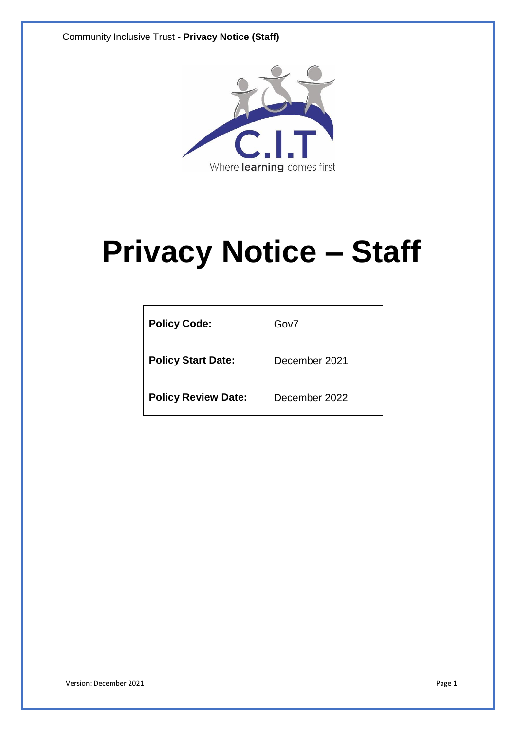

# **Privacy Notice – Staff**

| <b>Policy Code:</b>        | Gov7          |
|----------------------------|---------------|
| <b>Policy Start Date:</b>  | December 2021 |
| <b>Policy Review Date:</b> | December 2022 |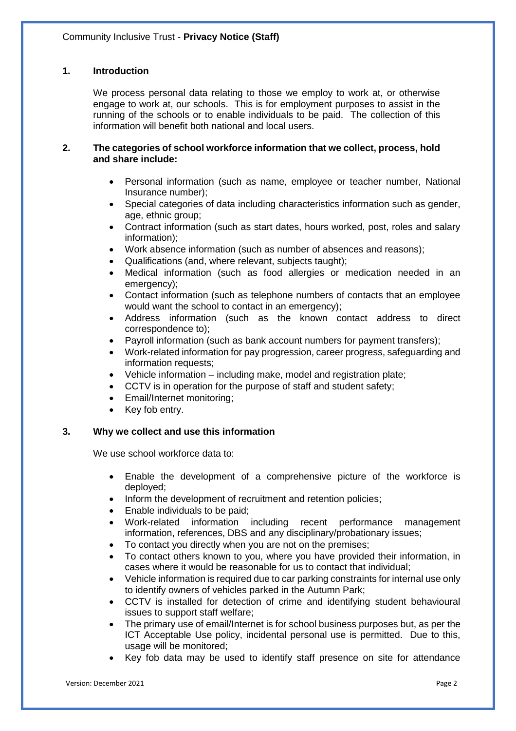# **1. Introduction**

We process personal data relating to those we employ to work at, or otherwise engage to work at, our schools. This is for employment purposes to assist in the running of the schools or to enable individuals to be paid. The collection of this information will benefit both national and local users.

#### **2. The categories of school workforce information that we collect, process, hold and share include:**

- Personal information (such as name, employee or teacher number, National Insurance number);
- Special categories of data including characteristics information such as gender, age, ethnic group;
- Contract information (such as start dates, hours worked, post, roles and salary information);
- Work absence information (such as number of absences and reasons);
- Qualifications (and, where relevant, subjects taught);
- Medical information (such as food allergies or medication needed in an emergency);
- Contact information (such as telephone numbers of contacts that an employee would want the school to contact in an emergency);
- Address information (such as the known contact address to direct correspondence to);
- Payroll information (such as bank account numbers for payment transfers);
- Work-related information for pay progression, career progress, safeguarding and information requests;
- Vehicle information including make, model and registration plate;
- CCTV is in operation for the purpose of staff and student safety;
- Email/Internet monitoring;
- Key fob entry.

# **3. Why we collect and use this information**

We use school workforce data to:

- Enable the development of a comprehensive picture of the workforce is deployed;
- Inform the development of recruitment and retention policies;
- Enable individuals to be paid;
- Work-related information including recent performance management information, references, DBS and any disciplinary/probationary issues;
- To contact you directly when you are not on the premises;
- To contact others known to you, where you have provided their information, in cases where it would be reasonable for us to contact that individual;
- Vehicle information is required due to car parking constraints for internal use only to identify owners of vehicles parked in the Autumn Park;
- CCTV is installed for detection of crime and identifying student behavioural issues to support staff welfare;
- The primary use of email/Internet is for school business purposes but, as per the ICT Acceptable Use policy, incidental personal use is permitted. Due to this, usage will be monitored;
- Key fob data may be used to identify staff presence on site for attendance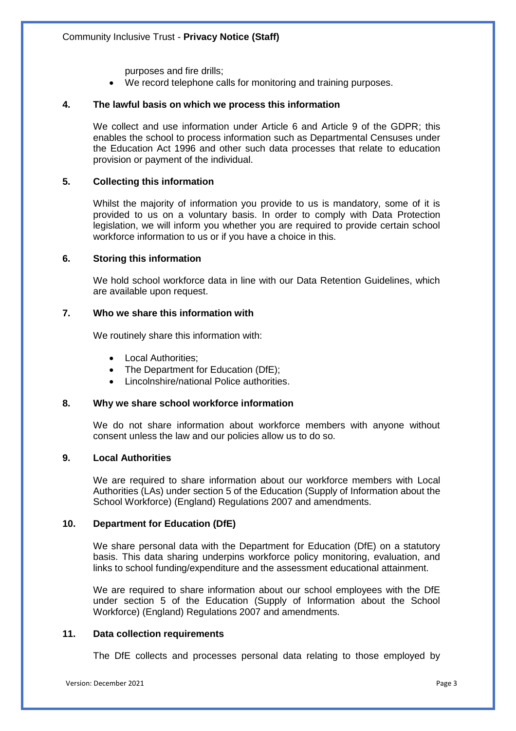purposes and fire drills;

We record telephone calls for monitoring and training purposes.

## **4. The lawful basis on which we process this information**

We collect and use information under Article 6 and Article 9 of the GDPR; this enables the school to process information such as Departmental Censuses under the Education Act 1996 and other such data processes that relate to education provision or payment of the individual.

## **5. Collecting this information**

Whilst the majority of information you provide to us is mandatory, some of it is provided to us on a voluntary basis. In order to comply with Data Protection legislation, we will inform you whether you are required to provide certain school workforce information to us or if you have a choice in this.

## **6. Storing this information**

We hold school workforce data in line with our Data Retention Guidelines, which are available upon request.

## **7. Who we share this information with**

We routinely share this information with:

- Local Authorities;
- The Department for Education (DfE);
- Lincolnshire/national Police authorities.

## **8. Why we share school workforce information**

We do not share information about workforce members with anyone without consent unless the law and our policies allow us to do so.

#### **9. Local Authorities**

We are required to share information about our workforce members with Local Authorities (LAs) under section 5 of the Education (Supply of Information about the School Workforce) (England) Regulations 2007 and amendments.

# **10. Department for Education (DfE)**

We share personal data with the Department for Education (DfE) on a statutory basis. This data sharing underpins workforce policy monitoring, evaluation, and links to school funding/expenditure and the assessment educational attainment.

We are required to share information about our school employees with the DfE under section 5 of the Education (Supply of Information about the School Workforce) (England) Regulations 2007 and amendments.

#### **11. Data collection requirements**

The DfE collects and processes personal data relating to those employed by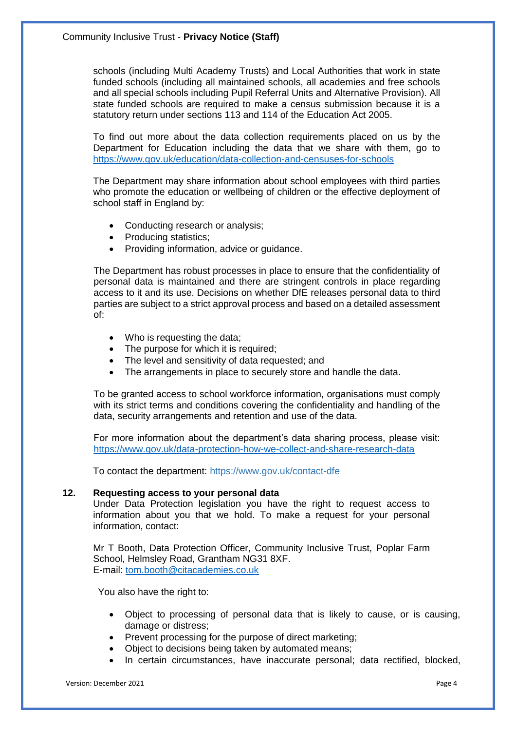schools (including Multi Academy Trusts) and Local Authorities that work in state funded schools (including all maintained schools, all academies and free schools and all special schools including Pupil Referral Units and Alternative Provision). All state funded schools are required to make a census submission because it is a statutory return under sections 113 and 114 of the Education Act 2005.

To find out more about the data collection requirements placed on us by the Department for Education including the data that we share with them, go to <https://www.gov.uk/education/data-collection-and-censuses-for-schools>

The Department may share information about school employees with third parties who promote the education or wellbeing of children or the effective deployment of school staff in England by:

- Conducting research or analysis;
- Producing statistics;
- Providing information, advice or guidance.

The Department has robust processes in place to ensure that the confidentiality of personal data is maintained and there are stringent controls in place regarding access to it and its use. Decisions on whether DfE releases personal data to third parties are subject to a strict approval process and based on a detailed assessment of:

- Who is requesting the data;
- The purpose for which it is required;
- The level and sensitivity of data requested; and
- The arrangements in place to securely store and handle the data.

To be granted access to school workforce information, organisations must comply with its strict terms and conditions covering the confidentiality and handling of the data, security arrangements and retention and use of the data.

For more information about the department's data sharing process, please visit: <https://www.gov.uk/data-protection-how-we-collect-and-share-research-data>

To contact the department:<https://www.gov.uk/contact-dfe>

#### **12. Requesting access to your personal data**

Under Data Protection legislation you have the right to request access to information about you that we hold. To make a request for your personal information, contact:

Mr T Booth, Data Protection Officer, Community Inclusive Trust, Poplar Farm School, Helmsley Road, Grantham NG31 8XF. E-mail: [tom.booth@citacademies.co.uk](mailto:tom.booth@citacademies.co.uk)

You also have the right to:

- Object to processing of personal data that is likely to cause, or is causing, damage or distress;
- Prevent processing for the purpose of direct marketing;
- Object to decisions being taken by automated means;
- In certain circumstances, have inaccurate personal; data rectified, blocked,